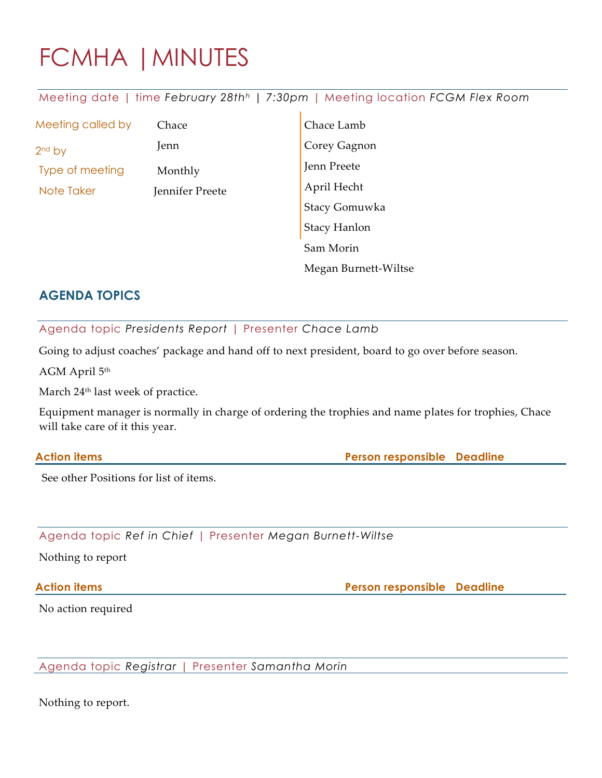# FCMHA |MINUTES

Meeting date | time *February 28th<sup>h</sup> | 7:30pm* | Meeting location *FCGM Flex Room*

| Meeting called by | Chace           | Chace Lamb                  |  |
|-------------------|-----------------|-----------------------------|--|
| $2nd$ by          | Jenn            |                             |  |
| Type of meeting   | Monthly         | Corey Gagnon<br>Jenn Preete |  |
| Note Taker        | Jennifer Preete | April Hecht                 |  |
|                   |                 | Stacy Gomuwka               |  |
|                   |                 | Stacy Hanlon                |  |
|                   |                 | Sam Morin                   |  |
|                   |                 | Megan Burnett-Wiltse        |  |

## **AGENDA TOPICS**

Agenda topic *Presidents Report* | Presenter *Chace Lamb*

Going to adjust coaches' package and hand off to next president, board to go over before season.

AGM April 5th

March 24<sup>th</sup> last week of practice.

Equipment manager is normally in charge of ordering the trophies and name plates for trophies, Chace will take care of it this year.

#### **Action items Person responsible Deadline**

See other Positions for list of items.

Agenda topic *Ref in Chief* | Presenter *Megan Burnett-Wiltse*

Nothing to report

**Action items Person responsible Deadline**

No action required

Agenda topic *Registrar* | Presenter *Samantha Morin*

Nothing to report.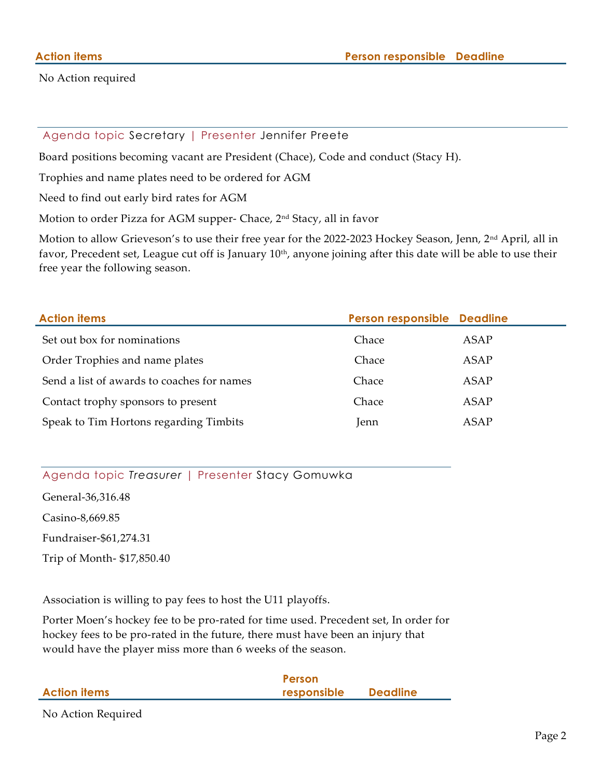No Action required

#### Agenda topic Secretary | Presenter Jennifer Preete

Board positions becoming vacant are President (Chace), Code and conduct (Stacy H).

Trophies and name plates need to be ordered for AGM

Need to find out early bird rates for AGM

Motion to order Pizza for AGM supper- Chace, 2<sup>nd</sup> Stacy, all in favor

Motion to allow Grieveson's to use their free year for the 2022-2023 Hockey Season, Jenn, 2nd April, all in favor, Precedent set, League cut off is January 10<sup>th</sup>, anyone joining after this date will be able to use their free year the following season.

| <b>Action items</b>                        | Person responsible Deadline |      |
|--------------------------------------------|-----------------------------|------|
| Set out box for nominations                | Chace                       | ASAP |
| Order Trophies and name plates             | Chace                       | ASAP |
| Send a list of awards to coaches for names | Chace                       | ASAP |
| Contact trophy sponsors to present         | Chace                       | ASAP |
| Speak to Tim Hortons regarding Timbits     | Jenn                        | ASAP |

### Agenda topic *Treasurer* | Presenter Stacy Gomuwka

General-36,316.48

Casino-8,669.85

Fundraiser-\$61,274.31

Trip of Month- \$17,850.40

Association is willing to pay fees to host the U11 playoffs.

Porter Moen's hockey fee to be pro-rated for time used. Precedent set, In order for hockey fees to be pro-rated in the future, there must have been an injury that would have the player miss more than 6 weeks of the season.

|                     | Person      |                 |
|---------------------|-------------|-----------------|
| <b>Action items</b> | responsible | <b>Deadline</b> |
|                     |             |                 |

No Action Required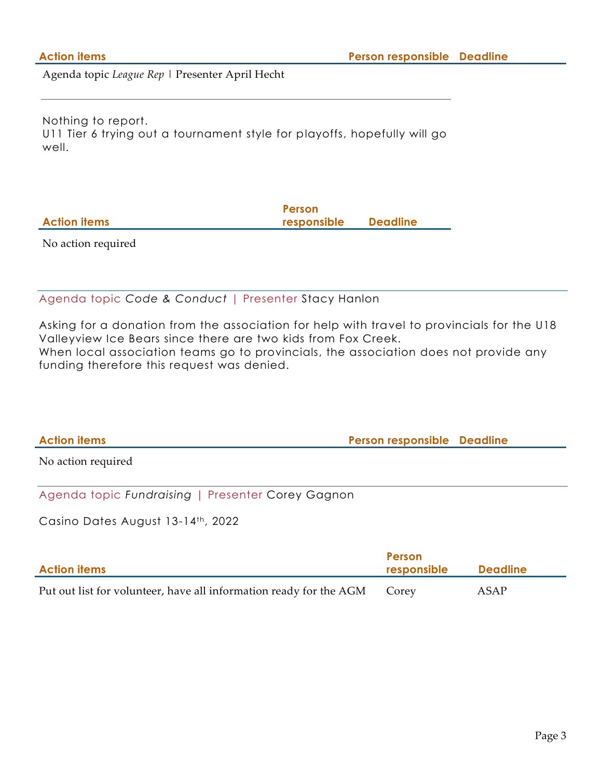Agenda topic *League Rep* | Presenter April Hecht

Nothing to report. U11 Tier 6 trying out a tournament style for playoffs, hopefully will go well.

|                     | Person      |                 |
|---------------------|-------------|-----------------|
| <b>Action items</b> | responsible | <b>Deadline</b> |
|                     |             |                 |

No action required

Agenda topic *Code & Conduct* | Presenter Stacy Hanlon

Asking for a donation from the association for help with travel to provincials for the U18 Valleyview Ice Bears since there are two kids from Fox Creek. When local association teams go to provincials, the association does not provide any funding therefore this request was denied.

**Action items Person responsible Deadline** No action required

Agenda topic *Fundraising* | Presenter Corey Gagnon

Casino Dates August 13-14th, 2022

| <b>Action items</b>                                                | <b>Person</b><br>responsible | Deadline |  |
|--------------------------------------------------------------------|------------------------------|----------|--|
| Put out list for volunteer, have all information ready for the AGM | Corey                        | ASAP     |  |